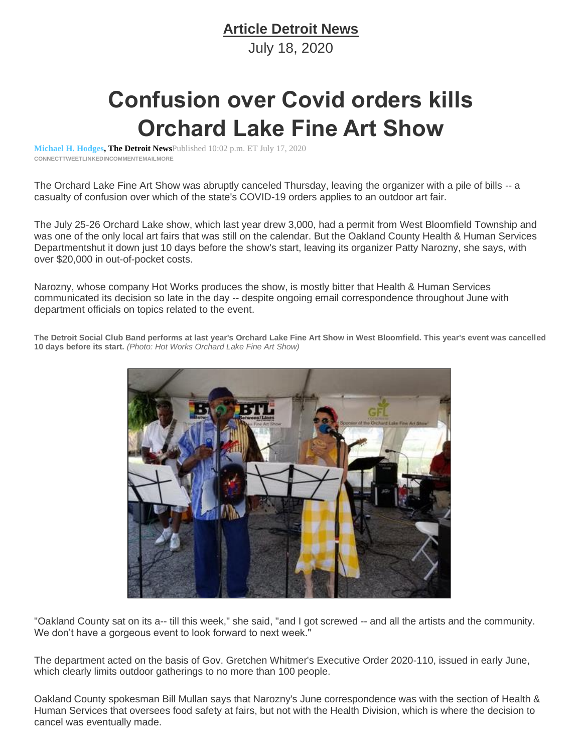## **Article Detroit News**

July 18, 2020

## **Confusion over Covid orders kills Orchard Lake Fine Art Show**

**[Michael H. Hodges,](http://www.detroitnews.com/staff/2646910001/michael-h-hodges/) The Detroit News**Published 10:02 p.m. ET July 17, 2020 **CONNEC[TTWEET](https://twitter.com/intent/tweet?url=https%3A//www.detroitnews.com/story/entertainment/2020/07/18/confusion-over-covid-orders-kills-orchard-lake-fine-art-show/5458753002/&text=Confusion%20over%20Covid%20orders%20kills%20Orchard%20Lake%20Fine%20Art%20Show&via=detroitnews)[LINKEDINC](http://www.linkedin.com/shareArticle?url=https%3A//www.detroitnews.com/story/entertainment/2020/07/18/confusion-over-covid-orders-kills-orchard-lake-fine-art-show/5458753002/&mini=true)OMMENTEMAILMORE**

The Orchard Lake Fine Art Show was abruptly canceled Thursday, leaving the organizer with a pile of bills -- a casualty of confusion over which of the state's COVID-19 orders applies to an outdoor art fair.

The July 25-26 Orchard Lake show, which last year drew 3,000, had a permit from West Bloomfield Township and was one of the only local art fairs that was still on the calendar. But the Oakland County Health & Human Services Departmentshut it down just 10 days before the show's start, leaving its organizer Patty Narozny, she says, with over \$20,000 in out-of-pocket costs.

Narozny, whose company Hot Works produces the show, is mostly bitter that Health & Human Services communicated its decision so late in the day -- despite ongoing email correspondence throughout June with department officials on topics related to the event.



**The Detroit Social Club Band performs at last year's Orchard Lake Fine Art Show in West Bloomfield. This year's event was cancelled 10 days before its start.** *(Photo: Hot Works Orchard Lake Fine Art Show)*

"Oakland County sat on its a-- till this week," she said, "and I got screwed -- and all the artists and the community. We don't have a gorgeous event to look forward to next week."

The department acted on the basis of Gov. Gretchen Whitmer's Executive Order 2020-110, issued in early June, which clearly limits outdoor gatherings to no more than 100 people.

Oakland County spokesman Bill Mullan says that Narozny's June correspondence was with the section of Health & Human Services that oversees food safety at fairs, but not with the Health Division, which is where the decision to cancel was eventually made.